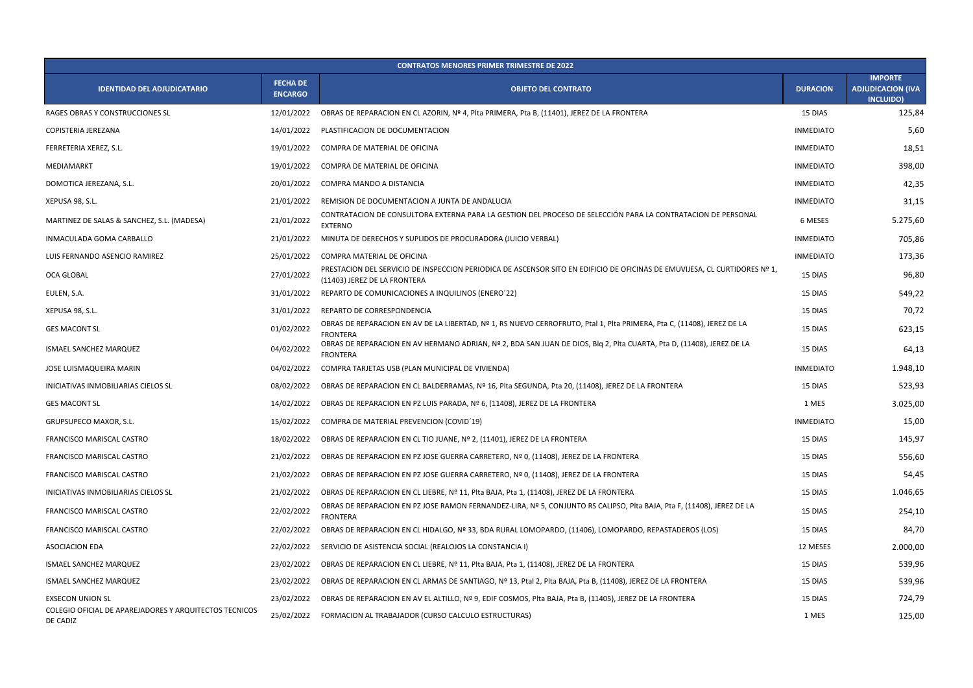| <b>CONTRATOS MENORES PRIMER TRIMESTRE DE 2022</b>                  |                                   |                                                                                                                                                            |                  |                                                                |  |  |  |
|--------------------------------------------------------------------|-----------------------------------|------------------------------------------------------------------------------------------------------------------------------------------------------------|------------------|----------------------------------------------------------------|--|--|--|
| <b>IDENTIDAD DEL ADJUDICATARIO</b>                                 | <b>FECHA DE</b><br><b>ENCARGO</b> | <b>OBJETO DEL CONTRATO</b>                                                                                                                                 | <b>DURACION</b>  | <b>IMPORTE</b><br><b>ADJUDICACION (IVA</b><br><b>INCLUIDO)</b> |  |  |  |
| RAGES OBRAS Y CONSTRUCCIONES SL                                    | 12/01/2022                        | OBRAS DE REPARACION EN CL AZORIN, Nº 4, Plta PRIMERA, Pta B, (11401), JEREZ DE LA FRONTERA                                                                 | 15 DIAS          | 125,84                                                         |  |  |  |
| COPISTERIA JEREZANA                                                | 14/01/2022                        | PLASTIFICACION DE DOCUMENTACION                                                                                                                            | <b>INMEDIATO</b> | 5,60                                                           |  |  |  |
| FERRETERIA XEREZ, S.L.                                             | 19/01/2022                        | COMPRA DE MATERIAL DE OFICINA                                                                                                                              | <b>INMEDIATO</b> | 18,51                                                          |  |  |  |
| MEDIAMARKT                                                         | 19/01/2022                        | COMPRA DE MATERIAL DE OFICINA                                                                                                                              | <b>INMEDIATO</b> | 398,00                                                         |  |  |  |
| DOMOTICA JEREZANA, S.L.                                            | 20/01/2022                        | COMPRA MANDO A DISTANCIA                                                                                                                                   | <b>INMEDIATO</b> | 42,35                                                          |  |  |  |
| XEPUSA 98, S.L.                                                    | 21/01/2022                        | REMISION DE DOCUMENTACION A JUNTA DE ANDALUCIA                                                                                                             | <b>INMEDIATO</b> | 31,15                                                          |  |  |  |
| MARTINEZ DE SALAS & SANCHEZ, S.L. (MADESA)                         | 21/01/2022                        | CONTRATACION DE CONSULTORA EXTERNA PARA LA GESTION DEL PROCESO DE SELECCIÓN PARA LA CONTRATACION DE PERSONAL<br><b>EXTERNO</b>                             | 6 MESES          | 5.275,60                                                       |  |  |  |
| <b>INMACULADA GOMA CARBALLO</b>                                    | 21/01/2022                        | MINUTA DE DERECHOS Y SUPLIDOS DE PROCURADORA (JUICIO VERBAL)                                                                                               | <b>INMEDIATO</b> | 705,86                                                         |  |  |  |
| LUIS FERNANDO ASENCIO RAMIREZ                                      | 25/01/2022                        | COMPRA MATERIAL DE OFICINA                                                                                                                                 | <b>INMEDIATO</b> | 173,36                                                         |  |  |  |
| OCA GLOBAL                                                         | 27/01/2022                        | PRESTACION DEL SERVICIO DE INSPECCION PERIODICA DE ASCENSOR SITO EN EDIFICIO DE OFICINAS DE EMUVIJESA, CL CURTIDORES Nº 1,<br>(11403) JEREZ DE LA FRONTERA | 15 DIAS          | 96,80                                                          |  |  |  |
| EULEN, S.A.                                                        | 31/01/2022                        | REPARTO DE COMUNICACIONES A INQUILINOS (ENERO'22)                                                                                                          | 15 DIAS          | 549,22                                                         |  |  |  |
| XEPUSA 98, S.L.                                                    | 31/01/2022                        | REPARTO DE CORRESPONDENCIA                                                                                                                                 | 15 DIAS          | 70,72                                                          |  |  |  |
| <b>GES MACONT SL</b>                                               | 01/02/2022                        | OBRAS DE REPARACION EN AV DE LA LIBERTAD, Nº 1, RS NUEVO CERROFRUTO, Ptal 1, PIta PRIMERA, Pta C, (11408), JEREZ DE LA<br><b>FRONTERA</b>                  | 15 DIAS          | 623,15                                                         |  |  |  |
| ISMAEL SANCHEZ MARQUEZ                                             | 04/02/2022                        | OBRAS DE REPARACION EN AV HERMANO ADRIAN, Nº 2, BDA SAN JUAN DE DIOS, BIQ 2, PIta CUARTA, Pta D, (11408), JEREZ DE LA<br><b>FRONTERA</b>                   | 15 DIAS          | 64,13                                                          |  |  |  |
| JOSE LUISMAQUEIRA MARIN                                            | 04/02/2022                        | COMPRA TARJETAS USB (PLAN MUNICIPAL DE VIVIENDA)                                                                                                           | <b>INMEDIATO</b> | 1.948,10                                                       |  |  |  |
| INICIATIVAS INMOBILIARIAS CIELOS SL                                | 08/02/2022                        | OBRAS DE REPARACION EN CL BALDERRAMAS, Nº 16, Plta SEGUNDA, Pta 20, (11408), JEREZ DE LA FRONTERA                                                          | 15 DIAS          | 523,93                                                         |  |  |  |
| <b>GES MACONT SL</b>                                               | 14/02/2022                        | OBRAS DE REPARACION EN PZ LUIS PARADA, Nº 6, (11408), JEREZ DE LA FRONTERA                                                                                 | 1 MES            | 3.025,00                                                       |  |  |  |
| <b>GRUPSUPECO MAXOR, S.L.</b>                                      |                                   | 15/02/2022 COMPRA DE MATERIAL PREVENCION (COVID'19)                                                                                                        | <b>INMEDIATO</b> | 15,00                                                          |  |  |  |
| FRANCISCO MARISCAL CASTRO                                          | 18/02/2022                        | OBRAS DE REPARACION EN CL TIO JUANE, Nº 2, (11401), JEREZ DE LA FRONTERA                                                                                   | 15 DIAS          | 145,97                                                         |  |  |  |
| FRANCISCO MARISCAL CASTRO                                          | 21/02/2022                        | OBRAS DE REPARACION EN PZ JOSE GUERRA CARRETERO, Nº 0, (11408), JEREZ DE LA FRONTERA                                                                       | 15 DIAS          | 556,60                                                         |  |  |  |
| <b>FRANCISCO MARISCAL CASTRO</b>                                   | 21/02/2022                        | OBRAS DE REPARACION EN PZ JOSE GUERRA CARRETERO, Nº 0, (11408), JEREZ DE LA FRONTERA                                                                       | 15 DIAS          | 54,45                                                          |  |  |  |
| INICIATIVAS INMOBILIARIAS CIELOS SL                                | 21/02/2022                        | OBRAS DE REPARACION EN CL LIEBRE, Nº 11, Plta BAJA, Pta 1, (11408), JEREZ DE LA FRONTERA                                                                   | 15 DIAS          | 1.046,65                                                       |  |  |  |
| FRANCISCO MARISCAL CASTRO                                          | 22/02/2022                        | OBRAS DE REPARACION EN PZ JOSE RAMON FERNANDEZ-LIRA, Nº 5, CONJUNTO RS CALIPSO, Plta BAJA, Pta F, (11408), JEREZ DE LA<br><b>FRONTERA</b>                  | 15 DIAS          | 254,10                                                         |  |  |  |
| FRANCISCO MARISCAL CASTRO                                          | 22/02/2022                        | OBRAS DE REPARACION EN CL HIDALGO, Nº 33, BDA RURAL LOMOPARDO, (11406), LOMOPARDO, REPASTADEROS (LOS)                                                      | 15 DIAS          | 84,70                                                          |  |  |  |
| ASOCIACION EDA                                                     | 22/02/2022                        | SERVICIO DE ASISTENCIA SOCIAL (REALOJOS LA CONSTANCIA I)                                                                                                   | 12 MESES         | 2.000,00                                                       |  |  |  |
| ISMAEL SANCHEZ MARQUEZ                                             | 23/02/2022                        | OBRAS DE REPARACION EN CL LIEBRE, Nº 11, Plta BAJA, Pta 1, (11408), JEREZ DE LA FRONTERA                                                                   | 15 DIAS          | 539,96                                                         |  |  |  |
| ISMAEL SANCHEZ MARQUEZ                                             | 23/02/2022                        | OBRAS DE REPARACION EN CL ARMAS DE SANTIAGO, Nº 13, Ptal 2, Plta BAJA, Pta B, (11408), JEREZ DE LA FRONTERA                                                | 15 DIAS          | 539,96                                                         |  |  |  |
| <b>EXSECON UNION SL</b>                                            | 23/02/2022                        | OBRAS DE REPARACION EN AV EL ALTILLO, Nº 9, EDIF COSMOS, Plta BAJA, Pta B, (11405), JEREZ DE LA FRONTERA                                                   | 15 DIAS          | 724,79                                                         |  |  |  |
| COLEGIO OFICIAL DE APAREJADORES Y ARQUITECTOS TECNICOS<br>DE CADIZ | 25/02/2022                        | FORMACION AL TRABAJADOR (CURSO CALCULO ESTRUCTURAS)                                                                                                        | 1 MES            | 125,00                                                         |  |  |  |